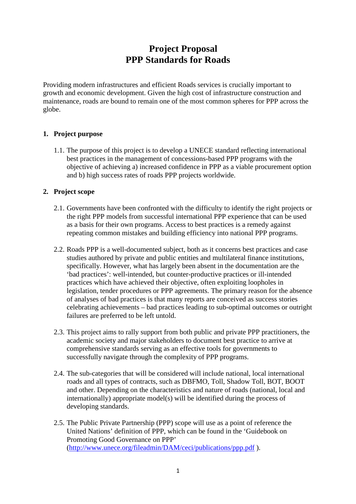# **Project Proposal PPP Standards for Roads**

Providing modern infrastructures and efficient Roads services is crucially important to growth and economic development. Given the high cost of infrastructure construction and maintenance, roads are bound to remain one of the most common spheres for PPP across the globe.

## **1. Project purpose**

1.1. The purpose of this project is to develop a UNECE standard reflecting international best practices in the management of concessions-based PPP programs with the objective of achieving a) increased confidence in PPP as a viable procurement option and b) high success rates of roads PPP projects worldwide.

## **2. Project scope**

- 2.1. Governments have been confronted with the difficulty to identify the right projects or the right PPP models from successful international PPP experience that can be used as a basis for their own programs. Access to best practices is a remedy against repeating common mistakes and building efficiency into national PPP programs.
- 2.2. Roads PPP is a well-documented subject, both as it concerns best practices and case studies authored by private and public entities and multilateral finance institutions, specifically. However, what has largely been absent in the documentation are the 'bad practices': well-intended, but counter-productive practices or ill-intended practices which have achieved their objective, often exploiting loopholes in legislation, tender procedures or PPP agreements. The primary reason for the absence of analyses of bad practices is that many reports are conceived as success stories celebrating achievements – bad practices leading to sub-optimal outcomes or outright failures are preferred to be left untold.
- 2.3. This project aims to rally support from both public and private PPP practitioners, the academic society and major stakeholders to document best practice to arrive at comprehensive standards serving as an effective tools for governments to successfully navigate through the complexity of PPP programs.
- 2.4. The sub-categories that will be considered will include national, local international roads and all types of contracts, such as DBFMO, Toll, Shadow Toll, BOT, BOOT and other. Depending on the characteristics and nature of roads (national, local and internationally) appropriate model(s) will be identified during the process of developing standards.
- 2.5. The Public Private Partnership (PPP) scope will use as a point of reference the United Nations' definition of PPP, which can be found in the 'Guidebook on Promoting Good Governance on PPP' [\(http://www.unece.org/fileadmin/DAM/ceci/publications/ppp.pdf](http://www.unece.org/fileadmin/DAM/ceci/publications/ppp.pdf) ).